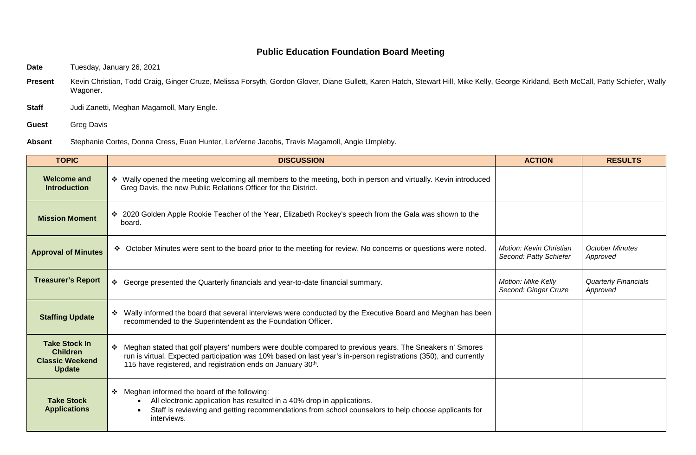## **Public Education Foundation Board Meeting**

**Date** Tuesday, January 26, 2021

- Present Kevin Christian, Todd Craig, Ginger Cruze, Melissa Forsyth, Gordon Glover, Diane Gullett, Karen Hatch, Stewart Hill, Mike Kelly, George Kirkland, Beth McCall, Patty Schiefer, Wally Wagoner.
- **Staff** Judi Zanetti, Meghan Magamoll, Mary Engle.
- **Guest** Greg Davis
- **Absent** Stephanie Cortes, Donna Cress, Euan Hunter, LerVerne Jacobs, Travis Magamoll, Angie Umpleby.

| <b>TOPIC</b>                                                                       | <b>DISCUSSION</b>                                                                                                                                                                                                                                                                            | <b>ACTION</b>                                            | <b>RESULTS</b>                          |
|------------------------------------------------------------------------------------|----------------------------------------------------------------------------------------------------------------------------------------------------------------------------------------------------------------------------------------------------------------------------------------------|----------------------------------------------------------|-----------------------------------------|
| <b>Welcome and</b><br><b>Introduction</b>                                          | ❖ Wally opened the meeting welcoming all members to the meeting, both in person and virtually. Kevin introduced<br>Greg Davis, the new Public Relations Officer for the District.                                                                                                            |                                                          |                                         |
| <b>Mission Moment</b>                                                              | ❖ 2020 Golden Apple Rookie Teacher of the Year, Elizabeth Rockey's speech from the Gala was shown to the<br>board.                                                                                                                                                                           |                                                          |                                         |
| <b>Approval of Minutes</b>                                                         | ❖ October Minutes were sent to the board prior to the meeting for review. No concerns or questions were noted.                                                                                                                                                                               | <b>Motion: Kevin Christian</b><br>Second: Patty Schiefer | <b>October Minutes</b><br>Approved      |
| <b>Treasurer's Report</b>                                                          | ❖ George presented the Quarterly financials and year-to-date financial summary.                                                                                                                                                                                                              | Motion: Mike Kelly<br>Second: Ginger Cruze               | <b>Quarterly Financials</b><br>Approved |
| <b>Staffing Update</b>                                                             | Wally informed the board that several interviews were conducted by the Executive Board and Meghan has been<br>recommended to the Superintendent as the Foundation Officer.                                                                                                                   |                                                          |                                         |
| <b>Take Stock In</b><br><b>Children</b><br><b>Classic Weekend</b><br><b>Update</b> | ❖ Meghan stated that golf players' numbers were double compared to previous years. The Sneakers n' Smores<br>run is virtual. Expected participation was 10% based on last year's in-person registrations (350), and currently<br>115 have registered, and registration ends on January 30th. |                                                          |                                         |
| <b>Take Stock</b><br><b>Applications</b>                                           | ❖ Meghan informed the board of the following:<br>All electronic application has resulted in a 40% drop in applications.<br>$\bullet$<br>Staff is reviewing and getting recommendations from school counselors to help choose applicants for<br>interviews.                                   |                                                          |                                         |